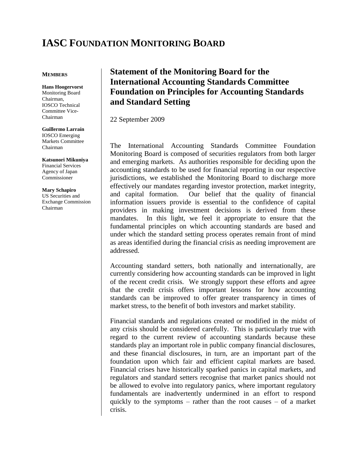# **IASC FOUNDATION MONITORING BOARD**

### **MEMBERS**

**Hans Hoogervorst** Monitoring Board Chairman, IOSCO Technical Committee Vice-Chairman

#### **Guillermo Larraín**

IOSCO Emerging Markets Committee Chairman

**Katsunori Mikuniya** Financial Services Agency of Japan Commissioner

**Mary Schapiro** US Securities and Exchange Commission Chairman

## **Statement of the Monitoring Board for the International Accounting Standards Committee Foundation on Principles for Accounting Standards and Standard Setting**

22 September 2009

The International Accounting Standards Committee Foundation Monitoring Board is composed of securities regulators from both larger and emerging markets. As authorities responsible for deciding upon the accounting standards to be used for financial reporting in our respective jurisdictions, we established the Monitoring Board to discharge more effectively our mandates regarding investor protection, market integrity, and capital formation. Our belief that the quality of financial information issuers provide is essential to the confidence of capital providers in making investment decisions is derived from these mandates. In this light, we feel it appropriate to ensure that the fundamental principles on which accounting standards are based and under which the standard setting process operates remain front of mind as areas identified during the financial crisis as needing improvement are addressed.

Accounting standard setters, both nationally and internationally, are currently considering how accounting standards can be improved in light of the recent credit crisis. We strongly support these efforts and agree that the credit crisis offers important lessons for how accounting standards can be improved to offer greater transparency in times of market stress, to the benefit of both investors and market stability.

Financial standards and regulations created or modified in the midst of any crisis should be considered carefully. This is particularly true with regard to the current review of accounting standards because these standards play an important role in public company financial disclosures, and these financial disclosures, in turn, are an important part of the foundation upon which fair and efficient capital markets are based. Financial crises have historically sparked panics in capital markets, and regulators and standard setters recognise that market panics should not be allowed to evolve into regulatory panics, where important regulatory fundamentals are inadvertently undermined in an effort to respond quickly to the symptoms – rather than the root causes – of a market crisis.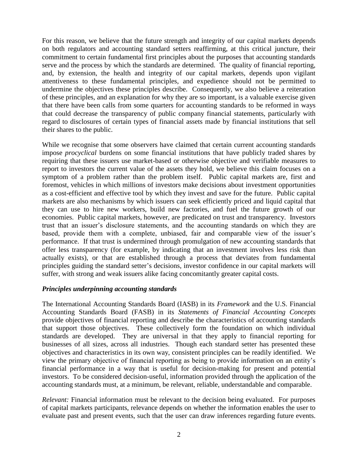For this reason, we believe that the future strength and integrity of our capital markets depends on both regulators and accounting standard setters reaffirming, at this critical juncture, their commitment to certain fundamental first principles about the purposes that accounting standards serve and the process by which the standards are determined. The quality of financial reporting, and, by extension, the health and integrity of our capital markets, depends upon vigilant attentiveness to these fundamental principles, and expedience should not be permitted to undermine the objectives these principles describe. Consequently, we also believe a reiteration of these principles, and an explanation for why they are so important, is a valuable exercise given that there have been calls from some quarters for accounting standards to be reformed in ways that could decrease the transparency of public company financial statements, particularly with regard to disclosures of certain types of financial assets made by financial institutions that sell their shares to the public.

While we recognise that some observers have claimed that certain current accounting standards impose *procyclical* burdens on some financial institutions that have publicly traded shares by requiring that these issuers use market-based or otherwise objective and verifiable measures to report to investors the current value of the assets they hold, we believe this claim focuses on a symptom of a problem rather than the problem itself. Public capital markets are, first and foremost, vehicles in which millions of investors make decisions about investment opportunities as a cost-efficient and effective tool by which they invest and save for the future. Public capital markets are also mechanisms by which issuers can seek efficiently priced and liquid capital that they can use to hire new workers, build new factories, and fuel the future growth of our economies. Public capital markets, however, are predicated on trust and transparency. Investors trust that an issuer's disclosure statements, and the accounting standards on which they are based, provide them with a complete, unbiased, fair and comparable view of the issuer's performance. If that trust is undermined through promulgation of new accounting standards that offer less transparency (for example, by indicating that an investment involves less risk than actually exists), or that are established through a process that deviates from fundamental principles guiding the standard setter's decisions, investor confidence in our capital markets will suffer, with strong and weak issuers alike facing concomitantly greater capital costs.

### *Principles underpinning accounting standards*

The International Accounting Standards Board (IASB) in its *Framework* and the U.S. Financial Accounting Standards Board (FASB) in its *Statements of Financial Accounting Concepts* provide objectives of financial reporting and describe the characteristics of accounting standards that support those objectives. These collectively form the foundation on which individual standards are developed. They are universal in that they apply to financial reporting for businesses of all sizes, across all industries. Though each standard setter has presented these objectives and characteristics in its own way, consistent principles can be readily identified. We view the primary objective of financial reporting as being to provide information on an entity's financial performance in a way that is useful for decision-making for present and potential investors. To be considered decision-useful, information provided through the application of the accounting standards must, at a minimum, be relevant, reliable, understandable and comparable.

*Relevant:* Financial information must be relevant to the decision being evaluated. For purposes of capital markets participants, relevance depends on whether the information enables the user to evaluate past and present events, such that the user can draw inferences regarding future events.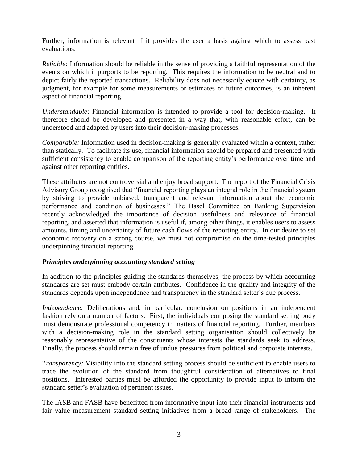Further, information is relevant if it provides the user a basis against which to assess past evaluations.

*Reliable:* Information should be reliable in the sense of providing a faithful representation of the events on which it purports to be reporting. This requires the information to be neutral and to depict fairly the reported transactions. Reliability does not necessarily equate with certainty, as judgment, for example for some measurements or estimates of future outcomes, is an inherent aspect of financial reporting.

*Understandable*: Financial information is intended to provide a tool for decision-making. It therefore should be developed and presented in a way that, with reasonable effort, can be understood and adapted by users into their decision-making processes.

*Comparable:* Information used in decision-making is generally evaluated within a context, rather than statically. To facilitate its use, financial information should be prepared and presented with sufficient consistency to enable comparison of the reporting entity's performance over time and against other reporting entities.

These attributes are not controversial and enjoy broad support. The report of the Financial Crisis Advisory Group recognised that "financial reporting plays an integral role in the financial system by striving to provide unbiased, transparent and relevant information about the economic performance and condition of businesses." The Basel Committee on Banking Supervision recently acknowledged the importance of decision usefulness and relevance of financial reporting, and asserted that information is useful if, among other things, it enables users to assess amounts, timing and uncertainty of future cash flows of the reporting entity. In our desire to set economic recovery on a strong course, we must not compromise on the time-tested principles underpinning financial reporting.

## *Principles underpinning accounting standard setting*

In addition to the principles guiding the standards themselves, the process by which accounting standards are set must embody certain attributes. Confidence in the quality and integrity of the standards depends upon independence and transparency in the standard setter's due process.

*Independence:* Deliberations and, in particular, conclusion on positions in an independent fashion rely on a number of factors. First, the individuals composing the standard setting body must demonstrate professional competency in matters of financial reporting. Further, members with a decision-making role in the standard setting organisation should collectively be reasonably representative of the constituents whose interests the standards seek to address. Finally, the process should remain free of undue pressures from political and corporate interests.

*Transparency:* Visibility into the standard setting process should be sufficient to enable users to trace the evolution of the standard from thoughtful consideration of alternatives to final positions. Interested parties must be afforded the opportunity to provide input to inform the standard setter's evaluation of pertinent issues.

The IASB and FASB have benefitted from informative input into their financial instruments and fair value measurement standard setting initiatives from a broad range of stakeholders. The